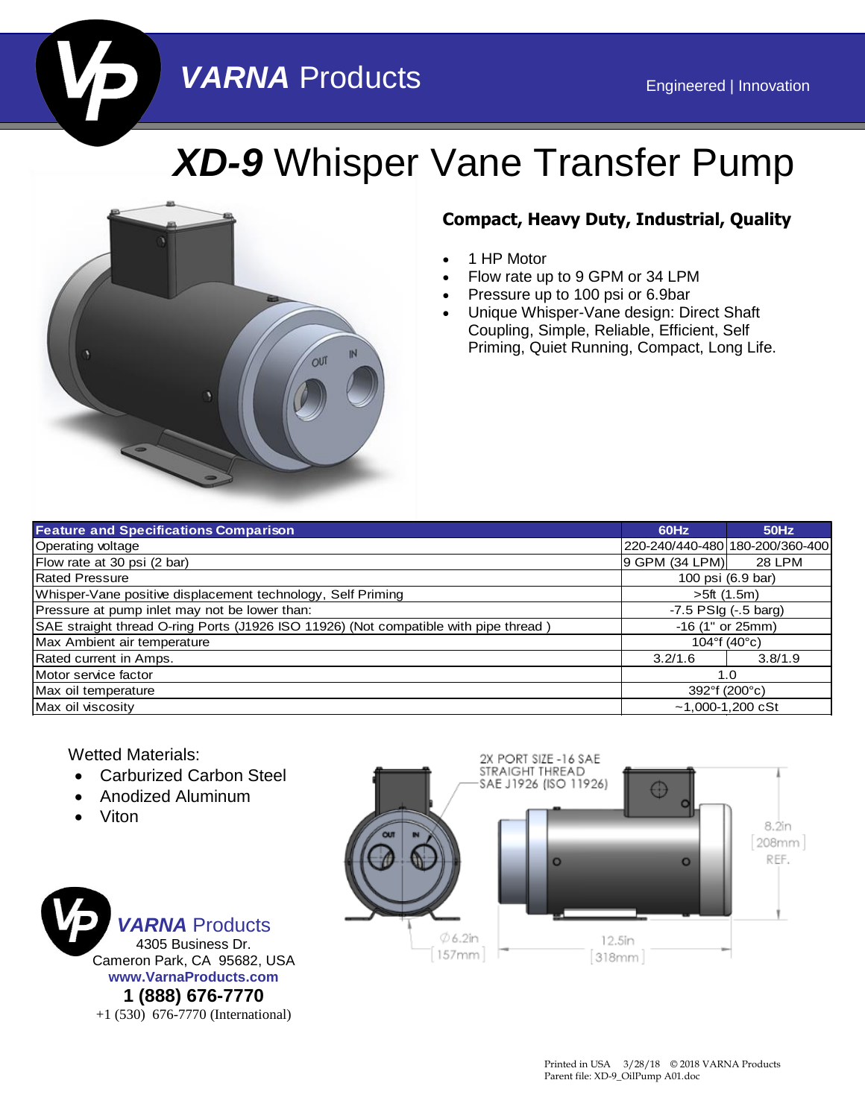## **VARNA** Products Engineered | Innovation

# *XD-9* Whisper Vane Transfer Pump



#### **Compact, Heavy Duty, Industrial, Quality**

- 1 HP Motor
- Flow rate up to 9 GPM or 34 LPM
- Pressure up to 100 psi or 6.9bar
- Unique Whisper-Vane design: Direct Shaft Coupling, Simple, Reliable, Efficient, Self Priming, Quiet Running, Compact, Long Life.

| <b>Feature and Specifications Comparison</b>                                         | 60Hz                              | <b>50Hz</b>   |
|--------------------------------------------------------------------------------------|-----------------------------------|---------------|
| Operating voltage                                                                    | 220-240/440-480 180-200/360-400   |               |
| Flow rate at 30 psi (2 bar)                                                          | 9 GPM (34 LPM)                    | <b>28 LPM</b> |
| <b>Rated Pressure</b>                                                                | 100 psi (6.9 bar)                 |               |
| Whisper-Vane positive displacement technology, Self Priming                          | >5ft(1.5m)                        |               |
| Pressure at pump inlet may not be lower than:                                        | $-7.5$ PSIg $(-5$ barg)           |               |
| SAE straight thread O-ring Ports (J1926 ISO 11926) (Not compatible with pipe thread) | $-16$ (1" or 25mm)                |               |
| Max Ambient air temperature                                                          | $104^{\circ}$ f (40 $^{\circ}$ c) |               |
| Rated current in Amps.                                                               | 3.2/1.6                           | 3.8/1.9       |
| Motor service factor                                                                 | 1.0                               |               |
| Max oil temperature                                                                  | 392°f (200°c)                     |               |
| Max oil viscosity                                                                    | $~1.000 - 1.200$ cSt              |               |

#### Wetted Materials:

- Carburized Carbon Steel
- Anodized Aluminum
- Viton



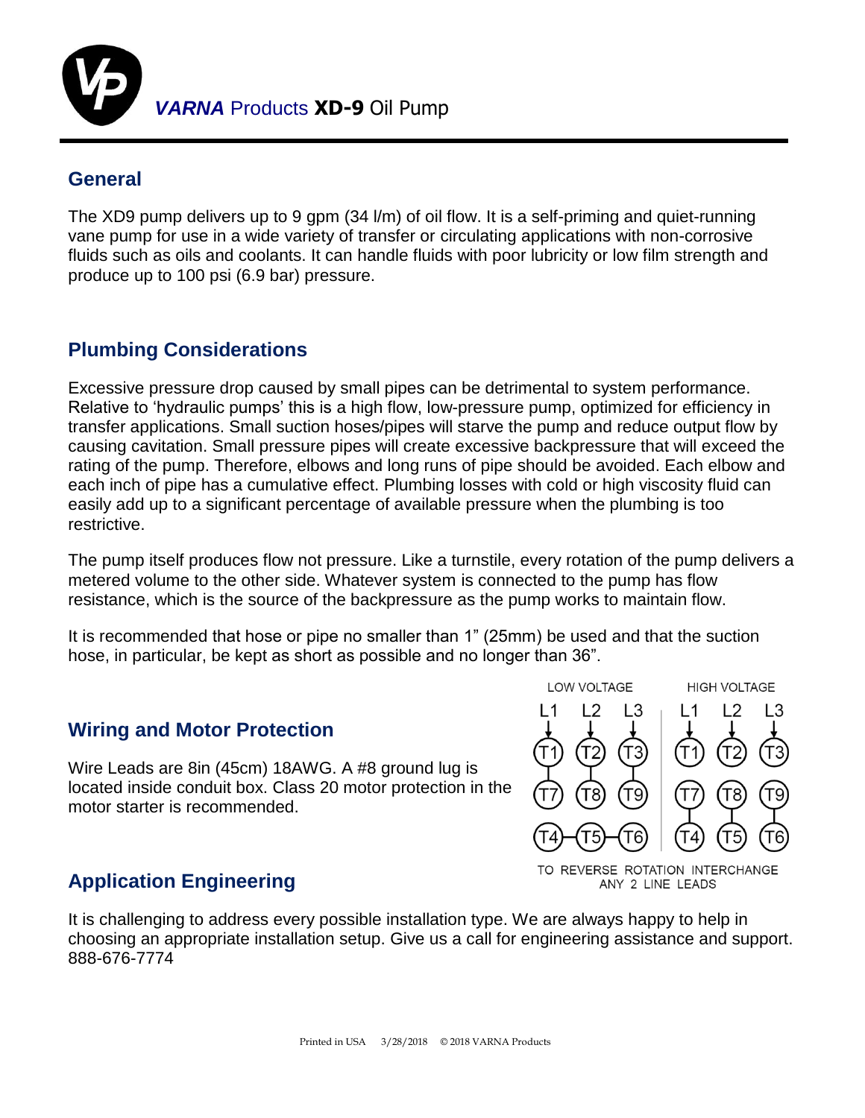

#### **General**

The XD9 pump delivers up to 9 gpm (34 l/m) of oil flow. It is a self-priming and quiet-running vane pump for use in a wide variety of transfer or circulating applications with non-corrosive fluids such as oils and coolants. It can handle fluids with poor lubricity or low film strength and produce up to 100 psi (6.9 bar) pressure.

### **Plumbing Considerations**

Excessive pressure drop caused by small pipes can be detrimental to system performance. Relative to 'hydraulic pumps' this is a high flow, low-pressure pump, optimized for efficiency in transfer applications. Small suction hoses/pipes will starve the pump and reduce output flow by causing cavitation. Small pressure pipes will create excessive backpressure that will exceed the rating of the pump. Therefore, elbows and long runs of pipe should be avoided. Each elbow and each inch of pipe has a cumulative effect. Plumbing losses with cold or high viscosity fluid can easily add up to a significant percentage of available pressure when the plumbing is too restrictive.

The pump itself produces flow not pressure. Like a turnstile, every rotation of the pump delivers a metered volume to the other side. Whatever system is connected to the pump has flow resistance, which is the source of the backpressure as the pump works to maintain flow.

It is recommended that hose or pipe no smaller than 1" (25mm) be used and that the suction hose, in particular, be kept as short as possible and no longer than 36".

#### **Wiring and Motor Protection**

Wire Leads are 8in (45cm) 18AWG. A #8 ground lug is located inside conduit box. Class 20 motor protection in the motor starter is recommended.



TO REVERSE ROTATION INTERCHANGE ANY 2 LINE LEADS

#### **Application Engineering**

It is challenging to address every possible installation type. We are always happy to help in choosing an appropriate installation setup. Give us a call for engineering assistance and support. 888-676-7774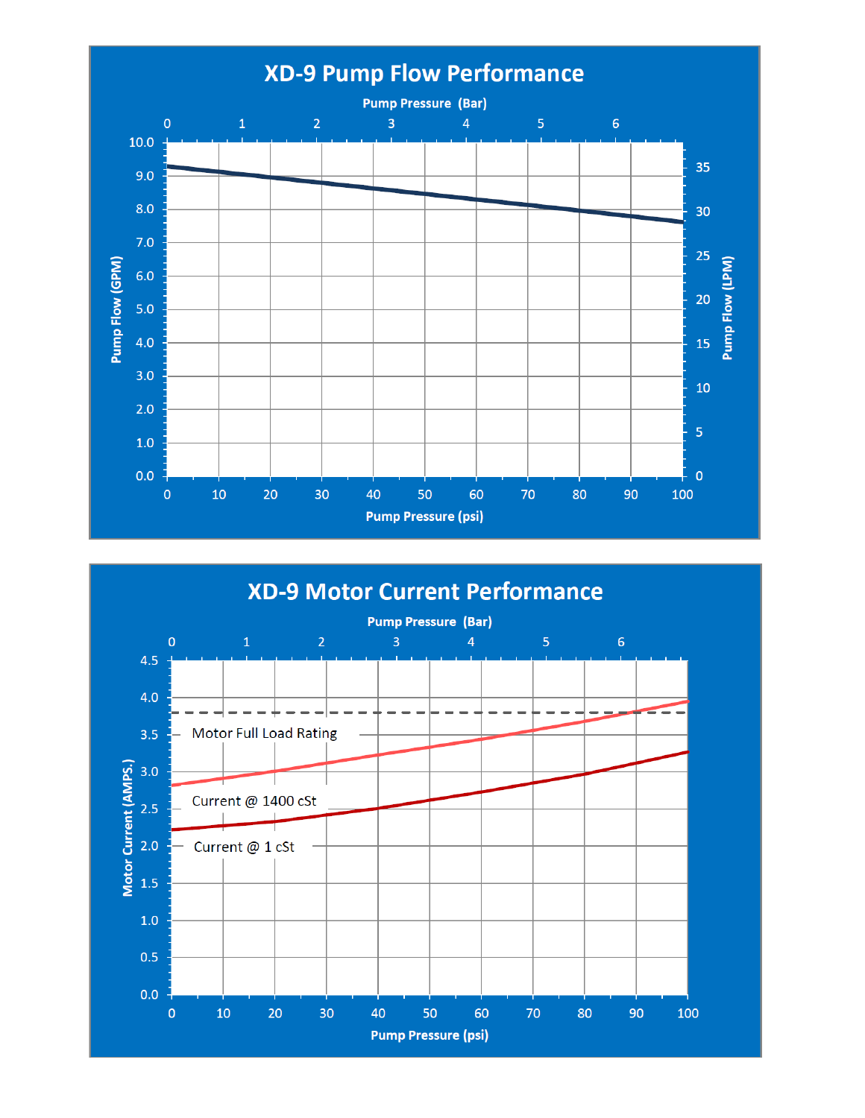